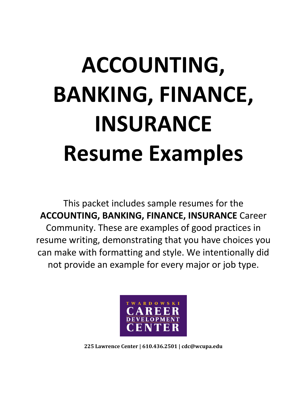# **ACCOUNTING, BANKING, FINANCE, INSURANCE Resume Examples**

This packet includes sample resumes for the **ACCOUNTING, BANKING, FINANCE, INSURANCE** Career Community. These are examples of good practices in resume writing, demonstrating that you have choices you can make with formatting and style. We intentionally did not provide an example for every major or job type.



**225 Lawrence Center | 610.436.2501 | cdc@wcupa.edu**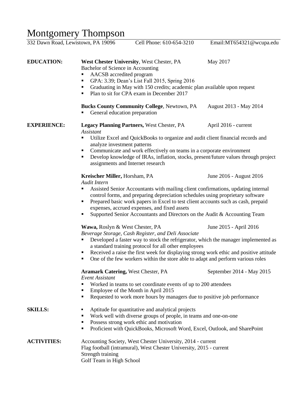# Montgomery Thompson

| 332 Dawn Road, Lewistown, PA 19096 |                                                                                                                                                                                                                                                                                                                                                                                                                                                                                 | Cell Phone: 610-654-3210                           | Email:MT654321@wcupa.edu |
|------------------------------------|---------------------------------------------------------------------------------------------------------------------------------------------------------------------------------------------------------------------------------------------------------------------------------------------------------------------------------------------------------------------------------------------------------------------------------------------------------------------------------|----------------------------------------------------|--------------------------|
| <b>EDUCATION:</b>                  | West Chester University, West Chester, PA<br>May 2017<br>Bachelor of Science in Accounting<br>AACSB accredited program<br>٠<br>GPA: 3.39; Dean's List Fall 2015, Spring 2016<br>٠<br>Graduating in May with 150 credits; academic plan available upon request<br>٠<br>Plan to sit for CPA exam in December 2017<br>٠                                                                                                                                                            |                                                    |                          |
|                                    | General education preparation                                                                                                                                                                                                                                                                                                                                                                                                                                                   | <b>Bucks County Community College, Newtown, PA</b> | August 2013 - May 2014   |
| <b>EXPERIENCE:</b>                 | <b>Assistant</b><br>٠                                                                                                                                                                                                                                                                                                                                                                                                                                                           | <b>Legacy Planning Partners, West Chester, PA</b>  | April 2016 - current     |
|                                    | Utilize Excel and QuickBooks to organize and audit client financial records and<br>analyze investment patterns<br>Communicate and work effectively on teams in a corporate environment<br>٠<br>Develop knowledge of IRAs, inflation, stocks, present/future values through project<br>٠<br>assignments and Internet research                                                                                                                                                    |                                                    |                          |
|                                    | Kreischer Miller, Horsham, PA<br>June 2016 - August 2016<br>Audit Intern<br>Assisted Senior Accountants with mailing client confirmations, updating internal<br>٠<br>control forms, and preparing depreciation schedules using proprietary software<br>Prepared basic work papers in Excel to test client accounts such as cash, prepaid<br>٠<br>expenses, accrued expenses, and fixed assets<br>Supported Senior Accountants and Directors on the Audit & Accounting Team<br>٠ |                                                    |                          |
|                                    | Wawa, Roslyn & West Chester, PA<br>June 2015 - April 2016<br>Beverage Storage, Cash Register, and Deli Associate<br>Developed a faster way to stock the refrigerator, which the manager implemented as<br>a standard training protocol for all other employees<br>Received a raise the first week for displaying strong work ethic and positive attitude<br>٠<br>One of the few workers within the store able to adapt and perform various roles<br>٠                           |                                                    |                          |
|                                    | September 2014 - May 2015<br><b>Aramark Catering, West Chester, PA</b><br><b>Event Assistant</b><br>Worked in teams to set coordinate events of up to 200 attendees<br>٠<br>Employee of the Month in April 2015<br>٠<br>Requested to work more hours by managers due to positive job performance<br>٠                                                                                                                                                                           |                                                    |                          |
| <b>SKILLS:</b>                     | Aptitude for quantitative and analytical projects<br>٠<br>Work well with diverse groups of people, in teams and one-on-one<br>٠<br>Possess strong work ethic and motivation<br>٠<br>Proficient with QuickBooks, Microsoft Word, Excel, Outlook, and SharePoint<br>٠                                                                                                                                                                                                             |                                                    |                          |
| <b>ACTIVITIES:</b>                 | Accounting Society, West Chester University, 2014 - current<br>Flag football (intramural), West Chester University, 2015 - current<br>Strength training<br>Golf Team in High School                                                                                                                                                                                                                                                                                             |                                                    |                          |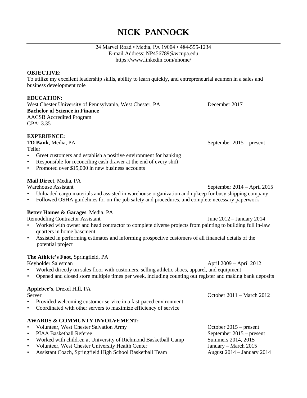## **NICK PANNOCK**

### 24 Marvel Road • Media, PA 19004 • 484-555-1234 E-mail Address: [NP456789@wcupa.edu](mailto:NP456789@wcupa.edu) <https://www.linkedin.com/nhome/>

## **OBJECTIVE:**

To utilize my excellent leadership skills, ability to learn quickly, and entrepreneurial acumen in a sales and business development role

## **EDUCATION:**

West Chester University of Pennsylvania, West Chester, PA December 2017 **Bachelor of Science in Finance** AACSB Accredited Program GPA: 3.35

**EXPERIENCE:**

Teller

- Greet customers and establish a positive environment for banking
- Responsible for reconciling cash drawer at the end of every shift
- Promoted over \$15,000 in new business accounts

## **Mail Direct**, Media, PA

- Unloaded cargo materials and assisted in warehouse organization and upkeep for busy shipping company
- Followed OSHA guidelines for on-the-job safety and procedures, and complete necessary paperwork

## **Better Homes & Garages**, Media, PA

Remodeling Contractor Assistant Tune 2012 – January 2014

- Worked with owner and head contractor to complete diverse projects from painting to building full in-law quarters in home basement
- Assisted in performing estimates and informing prospective customers of all financial details of the potential project

## **The Athlete's Foot**, Springfield, PA

Keyholder Salesman April 2009 – April 2012

- Worked directly on sales floor with customers, selling athletic shoes, apparel, and equipment
- Opened and closed store multiple times per week, including counting out register and making bank deposits

### **Applebee's**, Drexel Hill, PA

Server October 2011 – March 2012

- Provided welcoming customer service in a fast-paced environment
- Coordinated with other servers to maximize efficiency of service

## **AWARDS & COMMUNTY INVOLVEMENT:**

- Volunteer, West Chester Salvation Army October 2015 present • PIAA Basketball Referee September 2015 – present • Worked with children at University of Richmond Basketball Camp Summers 2014, 2015 • Volunteer, West Chester University Health Center January – March 2015 • Assistant Coach, Springfield High School Basketball Team August 2014 – January 2014
- 
- -

**TD Bank**, Media, PA September 2015 – present

Warehouse Assistant September 2014 – April 2015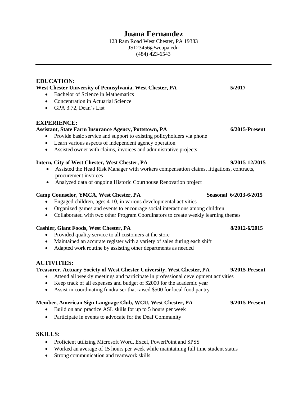## **Juana Fernandez**

123 Ram Road West Chester, PA 19383 JS123456@wcupa.edu (484) 423-6543

## **EDUCATION: West Chester University of Pennsylvania, West Chester, PA 5/2017** • Bachelor of Science in Mathematics • Concentration in Actuarial Science GPA 3.72, Dean's List **EXPERIENCE: Assistant, State Farm Insurance Agency, Pottstown, PA 6/2015-Present** • Provide basic service and support to existing policyholders via phone Learn various aspects of independent agency operation Assisted owner with claims, invoices and administrative projects **Intern, City of West Chester, West Chester, PA 9/2015-12/2015** Assisted the Head Risk Manager with workers compensation claims, litigations, contracts, procurement invoices Analyzed data of ongoing Historic Courthouse Renovation project **Camp Counselor, YMCA, West Chester, PA** Seasonal 6/2013-6/2015 Engaged children, ages 4-10, in various developmental activities Organized games and events to encourage social interactions among children • Collaborated with two other Program Coordinators to create weekly learning themes **Cashier, Giant Foods, West Chester, PA 8/2012-6/2015** • Provided quality service to all customers at the store • Maintained an accurate register with a variety of sales during each shift Adapted work routine by assisting other departments as needed **ACTIVITIES: Treasurer, Actuary Society of West Chester University, West Chester, PA 9/2015-Present** Attend all weekly meetings and participate in professional development activities Keep track of all expenses and budget of \$2000 for the academic year Assist in coordinating fundraiser that raised \$500 for local food pantry **Member, American Sign Language Club, WCU, West Chester, PA 9/2015-Present** • Build on and practice ASL skills for up to 5 hours per week

• Participate in events to advocate for the Deaf Community

## **SKILLS:**

- Proficient utilizing Microsoft Word, Excel, PowerPoint and SPSS
- Worked an average of 15 hours per week while maintaining full time student status
- Strong communication and teamwork skills